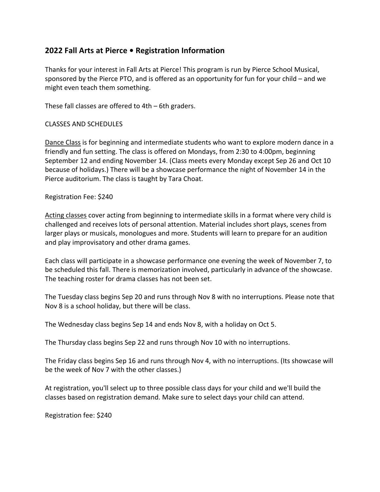# **2022 Fall Arts at Pierce • Registration Information**

Thanks for your interest in Fall Arts at Pierce! This program is run by Pierce School Musical, sponsored by the Pierce PTO, and is offered as an opportunity for fun for your child – and we might even teach them something.

These fall classes are offered to 4th – 6th graders.

## CLASSES AND SCHEDULES

Dance Class is for beginning and intermediate students who want to explore modern dance in a friendly and fun setting. The class is offered on Mondays, from 2:30 to 4:00pm, beginning September 12 and ending November 14. (Class meets every Monday except Sep 26 and Oct 10 because of holidays.) There will be a showcase performance the night of November 14 in the Pierce auditorium. The class is taught by Tara Choat.

Registration Fee: \$240

Acting classes cover acting from beginning to intermediate skills in a format where very child is challenged and receives lots of personal attention. Material includes short plays, scenes from larger plays or musicals, monologues and more. Students will learn to prepare for an audition and play improvisatory and other drama games.

Each class will participate in a showcase performance one evening the week of November 7, to be scheduled this fall. There is memorization involved, particularly in advance of the showcase. The teaching roster for drama classes has not been set.

The Tuesday class begins Sep 20 and runs through Nov 8 with no interruptions. Please note that Nov 8 is a school holiday, but there will be class.

The Wednesday class begins Sep 14 and ends Nov 8, with a holiday on Oct 5.

The Thursday class begins Sep 22 and runs through Nov 10 with no interruptions.

The Friday class begins Sep 16 and runs through Nov 4, with no interruptions. (Its showcase will be the week of Nov 7 with the other classes.)

At registration, you'll select up to three possible class days for your child and we'll build the classes based on registration demand. Make sure to select days your child can attend.

Registration fee: \$240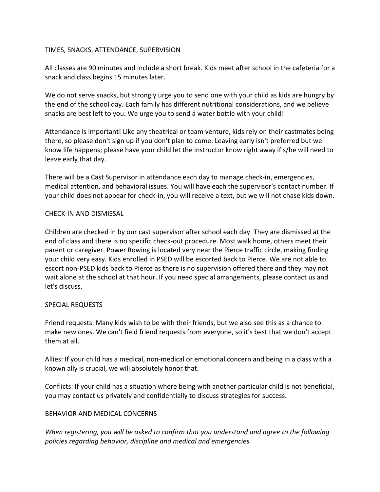#### TIMES, SNACKS, ATTENDANCE, SUPERVISION

All classes are 90 minutes and include a short break. Kids meet after school in the cafeteria for a snack and class begins 15 minutes later.

We do not serve snacks, but strongly urge you to send one with your child as kids are hungry by the end of the school day. Each family has different nutritional considerations, and we believe snacks are best left to you. We urge you to send a water bottle with your child!

Attendance is important! Like any theatrical or team venture, kids rely on their castmates being there, so please don't sign up if you don't plan to come. Leaving early isn't preferred but we know life happens; please have your child let the instructor know right away if s/he will need to leave early that day.

There will be a Cast Supervisor in attendance each day to manage check-in, emergencies, medical attention, and behavioral issues. You will have each the supervisor's contact number. If your child does not appear for check-in, you will receive a text, but we will not chase kids down.

## CHECK-IN AND DISMISSAL

Children are checked in by our cast supervisor after school each day. They are dismissed at the end of class and there is no specific check-out procedure. Most walk home, others meet their parent or caregiver. Power Rowing is located very near the Pierce traffic circle, making finding your child very easy. Kids enrolled in PSED will be escorted back to Pierce. We are not able to escort non-PSED kids back to Pierce as there is no supervision offered there and they may not wait alone at the school at that hour. If you need special arrangements, please contact us and let's discuss.

#### SPECIAL REQUESTS

Friend requests: Many kids wish to be with their friends, but we also see this as a chance to make new ones. We can't field friend requests from everyone, so it's best that we don't accept them at all.

Allies: If your child has a medical, non-medical or emotional concern and being in a class with a known ally is crucial, we will absolutely honor that.

Conflicts: If your child has a situation where being with another particular child is not beneficial, you may contact us privately and confidentially to discuss strategies for success.

# BEHAVIOR AND MEDICAL CONCERNS

*When registering, you will be asked to confirm that you understand and agree to the following policies regarding behavior, discipline and medical and emergencies.*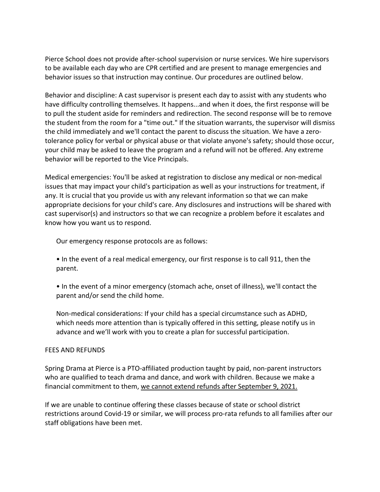Pierce School does not provide after-school supervision or nurse services. We hire supervisors to be available each day who are CPR certified and are present to manage emergencies and behavior issues so that instruction may continue. Our procedures are outlined below.

Behavior and discipline: A cast supervisor is present each day to assist with any students who have difficulty controlling themselves. It happens...and when it does, the first response will be to pull the student aside for reminders and redirection. The second response will be to remove the student from the room for a "time out." If the situation warrants, the supervisor will dismiss the child immediately and we'll contact the parent to discuss the situation. We have a zerotolerance policy for verbal or physical abuse or that violate anyone's safety; should those occur, your child may be asked to leave the program and a refund will not be offered. Any extreme behavior will be reported to the Vice Principals.

Medical emergencies: You'll be asked at registration to disclose any medical or non-medical issues that may impact your child's participation as well as your instructions for treatment, if any. It is crucial that you provide us with any relevant information so that we can make appropriate decisions for your child's care. Any disclosures and instructions will be shared with cast supervisor(s) and instructors so that we can recognize a problem before it escalates and know how you want us to respond.

Our emergency response protocols are as follows:

- In the event of a real medical emergency, our first response is to call 911, then the parent.
- In the event of a minor emergency (stomach ache, onset of illness), we'll contact the parent and/or send the child home.

Non-medical considerations: If your child has a special circumstance such as ADHD, which needs more attention than is typically offered in this setting, please notify us in advance and we'll work with you to create a plan for successful participation.

#### FEES AND REFUNDS

Spring Drama at Pierce is a PTO-affiliated production taught by paid, non-parent instructors who are qualified to teach drama and dance, and work with children. Because we make a financial commitment to them, we cannot extend refunds after September 9, 2021.

If we are unable to continue offering these classes because of state or school district restrictions around Covid-19 or similar, we will process pro-rata refunds to all families after our staff obligations have been met.